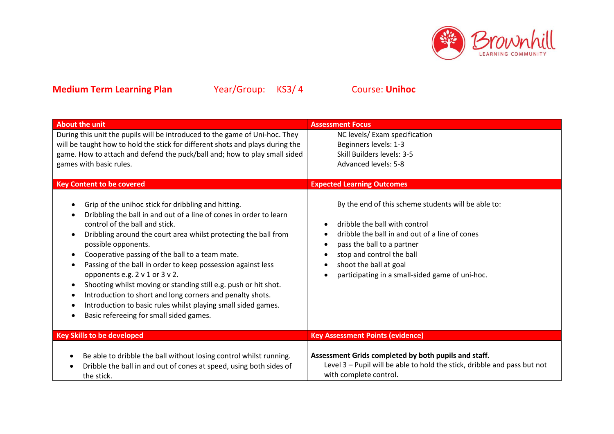

| <b>About the unit</b>                                                                                                                                                                                                                                                                                                                                                                                                                                                                                                                                                                                                                                               | <b>Assessment Focus</b>                                                                                                                                                                                                                                                        |
|---------------------------------------------------------------------------------------------------------------------------------------------------------------------------------------------------------------------------------------------------------------------------------------------------------------------------------------------------------------------------------------------------------------------------------------------------------------------------------------------------------------------------------------------------------------------------------------------------------------------------------------------------------------------|--------------------------------------------------------------------------------------------------------------------------------------------------------------------------------------------------------------------------------------------------------------------------------|
| During this unit the pupils will be introduced to the game of Uni-hoc. They<br>will be taught how to hold the stick for different shots and plays during the<br>game. How to attach and defend the puck/ball and; how to play small sided<br>games with basic rules.                                                                                                                                                                                                                                                                                                                                                                                                | NC levels/ Exam specification<br>Beginners levels: 1-3<br>Skill Builders levels: 3-5<br>Advanced levels: 5-8                                                                                                                                                                   |
| <b>Key Content to be covered</b>                                                                                                                                                                                                                                                                                                                                                                                                                                                                                                                                                                                                                                    | <b>Expected Learning Outcomes</b>                                                                                                                                                                                                                                              |
| Grip of the unihoc stick for dribbling and hitting.<br>$\bullet$<br>Dribbling the ball in and out of a line of cones in order to learn<br>control of the ball and stick.<br>Dribbling around the court area whilst protecting the ball from<br>possible opponents.<br>Cooperative passing of the ball to a team mate.<br>Passing of the ball in order to keep possession against less<br>opponents e.g. 2 v 1 or 3 v 2.<br>Shooting whilst moving or standing still e.g. push or hit shot.<br>Introduction to short and long corners and penalty shots.<br>Introduction to basic rules whilst playing small sided games.<br>Basic refereeing for small sided games. | By the end of this scheme students will be able to:<br>dribble the ball with control<br>dribble the ball in and out of a line of cones<br>pass the ball to a partner<br>stop and control the ball<br>shoot the ball at goal<br>participating in a small-sided game of uni-hoc. |
| <b>Key Skills to be developed</b>                                                                                                                                                                                                                                                                                                                                                                                                                                                                                                                                                                                                                                   | <b>Key Assessment Points (evidence)</b>                                                                                                                                                                                                                                        |
| Be able to dribble the ball without losing control whilst running.<br>٠<br>Dribble the ball in and out of cones at speed, using both sides of<br>the stick.                                                                                                                                                                                                                                                                                                                                                                                                                                                                                                         | Assessment Grids completed by both pupils and staff.<br>Level 3 - Pupil will be able to hold the stick, dribble and pass but not<br>with complete control.                                                                                                                     |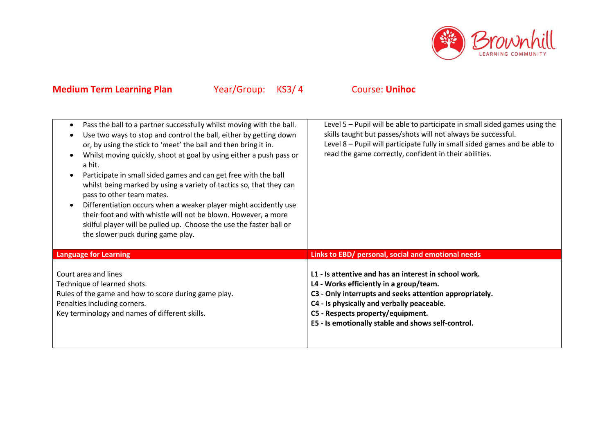

| Pass the ball to a partner successfully whilst moving with the ball.<br>$\bullet$<br>Use two ways to stop and control the ball, either by getting down<br>$\bullet$<br>or, by using the stick to 'meet' the ball and then bring it in.<br>Whilst moving quickly, shoot at goal by using either a push pass or<br>a hit.<br>Participate in small sided games and can get free with the ball<br>whilst being marked by using a variety of tactics so, that they can<br>pass to other team mates.<br>Differentiation occurs when a weaker player might accidently use<br>$\bullet$<br>their foot and with whistle will not be blown. However, a more<br>skilful player will be pulled up. Choose the use the faster ball or<br>the slower puck during game play. | Level 5 - Pupil will be able to participate in small sided games using the<br>skills taught but passes/shots will not always be successful.<br>Level 8 - Pupil will participate fully in small sided games and be able to<br>read the game correctly, confident in their abilities.                  |
|---------------------------------------------------------------------------------------------------------------------------------------------------------------------------------------------------------------------------------------------------------------------------------------------------------------------------------------------------------------------------------------------------------------------------------------------------------------------------------------------------------------------------------------------------------------------------------------------------------------------------------------------------------------------------------------------------------------------------------------------------------------|------------------------------------------------------------------------------------------------------------------------------------------------------------------------------------------------------------------------------------------------------------------------------------------------------|
| <b>Language for Learning</b>                                                                                                                                                                                                                                                                                                                                                                                                                                                                                                                                                                                                                                                                                                                                  | Links to EBD/ personal, social and emotional needs                                                                                                                                                                                                                                                   |
| Court area and lines<br>Technique of learned shots.<br>Rules of the game and how to score during game play.<br>Penalties including corners.<br>Key terminology and names of different skills.                                                                                                                                                                                                                                                                                                                                                                                                                                                                                                                                                                 | L1 - Is attentive and has an interest in school work.<br>L4 - Works efficiently in a group/team.<br>C3 - Only interrupts and seeks attention appropriately.<br>C4 - Is physically and verbally peaceable.<br>C5 - Respects property/equipment.<br>E5 - Is emotionally stable and shows self-control. |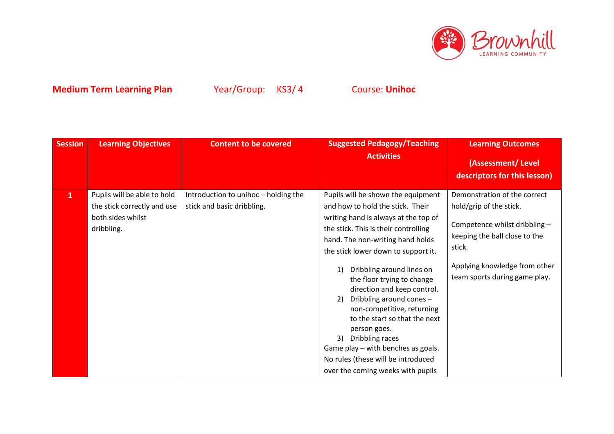

| <b>Session</b> | <b>Learning Objectives</b>                                                                    | <b>Content to be covered</b>                                       | <b>Suggested Pedagogy/Teaching</b>                                                                                                                                                                                                                                                                                                                                                                                                                                                                                                                                                     | <b>Learning Outcomes</b>                                                                                                                                                                              |
|----------------|-----------------------------------------------------------------------------------------------|--------------------------------------------------------------------|----------------------------------------------------------------------------------------------------------------------------------------------------------------------------------------------------------------------------------------------------------------------------------------------------------------------------------------------------------------------------------------------------------------------------------------------------------------------------------------------------------------------------------------------------------------------------------------|-------------------------------------------------------------------------------------------------------------------------------------------------------------------------------------------------------|
|                |                                                                                               |                                                                    | <b>Activities</b>                                                                                                                                                                                                                                                                                                                                                                                                                                                                                                                                                                      | (Assessment/Level<br>descriptors for this lesson)                                                                                                                                                     |
| $\mathbf{1}$   | Pupils will be able to hold<br>the stick correctly and use<br>both sides whilst<br>dribbling. | Introduction to unihoc - holding the<br>stick and basic dribbling. | Pupils will be shown the equipment<br>and how to hold the stick. Their<br>writing hand is always at the top of<br>the stick. This is their controlling<br>hand. The non-writing hand holds<br>the stick lower down to support it.<br>Dribbling around lines on<br>the floor trying to change<br>direction and keep control.<br>Dribbling around cones -<br>2)<br>non-competitive, returning<br>to the start so that the next<br>person goes.<br>Dribbling races<br>3)<br>Game play - with benches as goals.<br>No rules (these will be introduced<br>over the coming weeks with pupils | Demonstration of the correct<br>hold/grip of the stick.<br>Competence whilst dribbling -<br>keeping the ball close to the<br>stick.<br>Applying knowledge from other<br>team sports during game play. |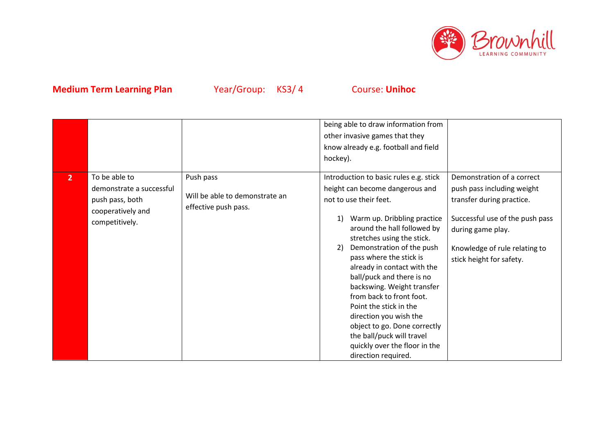

|                |                                                                                                     |                                                                     | being able to draw information from<br>other invasive games that they<br>know already e.g. football and field<br>hockey).                                                                                                                                                                                                                                                                                                                                                                                                                                          |                                                                                                                                                                                                            |
|----------------|-----------------------------------------------------------------------------------------------------|---------------------------------------------------------------------|--------------------------------------------------------------------------------------------------------------------------------------------------------------------------------------------------------------------------------------------------------------------------------------------------------------------------------------------------------------------------------------------------------------------------------------------------------------------------------------------------------------------------------------------------------------------|------------------------------------------------------------------------------------------------------------------------------------------------------------------------------------------------------------|
| $\overline{2}$ | To be able to<br>demonstrate a successful<br>push pass, both<br>cooperatively and<br>competitively. | Push pass<br>Will be able to demonstrate an<br>effective push pass. | Introduction to basic rules e.g. stick<br>height can become dangerous and<br>not to use their feet.<br>Warm up. Dribbling practice<br>1)<br>around the hall followed by<br>stretches using the stick.<br>Demonstration of the push<br>2)<br>pass where the stick is<br>already in contact with the<br>ball/puck and there is no<br>backswing. Weight transfer<br>from back to front foot.<br>Point the stick in the<br>direction you wish the<br>object to go. Done correctly<br>the ball/puck will travel<br>quickly over the floor in the<br>direction required. | Demonstration of a correct<br>push pass including weight<br>transfer during practice.<br>Successful use of the push pass<br>during game play.<br>Knowledge of rule relating to<br>stick height for safety. |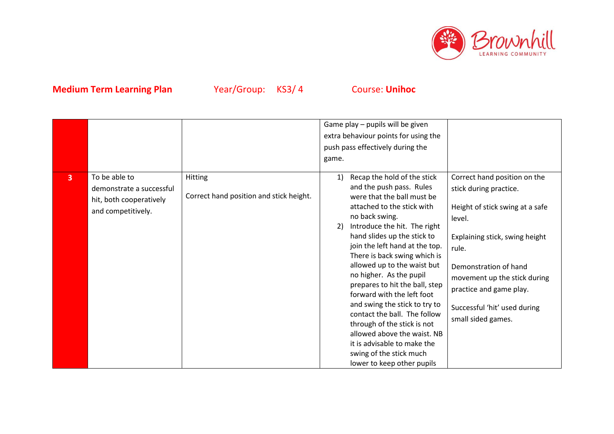

|              |                                                                                            |                                                           | Game play - pupils will be given<br>extra behaviour points for using the<br>push pass effectively during the<br>game.                                                                                                                                                                                                                                                                                                                                                                                                                                                                                                               |                                                                                                                                                                                                                                                                                          |
|--------------|--------------------------------------------------------------------------------------------|-----------------------------------------------------------|-------------------------------------------------------------------------------------------------------------------------------------------------------------------------------------------------------------------------------------------------------------------------------------------------------------------------------------------------------------------------------------------------------------------------------------------------------------------------------------------------------------------------------------------------------------------------------------------------------------------------------------|------------------------------------------------------------------------------------------------------------------------------------------------------------------------------------------------------------------------------------------------------------------------------------------|
| $\mathbf{3}$ | To be able to<br>demonstrate a successful<br>hit, both cooperatively<br>and competitively. | <b>Hitting</b><br>Correct hand position and stick height. | Recap the hold of the stick<br>1)<br>and the push pass. Rules<br>were that the ball must be<br>attached to the stick with<br>no back swing.<br>Introduce the hit. The right<br>2)<br>hand slides up the stick to<br>join the left hand at the top.<br>There is back swing which is<br>allowed up to the waist but<br>no higher. As the pupil<br>prepares to hit the ball, step<br>forward with the left foot<br>and swing the stick to try to<br>contact the ball. The follow<br>through of the stick is not<br>allowed above the waist. NB<br>it is advisable to make the<br>swing of the stick much<br>lower to keep other pupils | Correct hand position on the<br>stick during practice.<br>Height of stick swing at a safe<br>level.<br>Explaining stick, swing height<br>rule.<br>Demonstration of hand<br>movement up the stick during<br>practice and game play.<br>Successful 'hit' used during<br>small sided games. |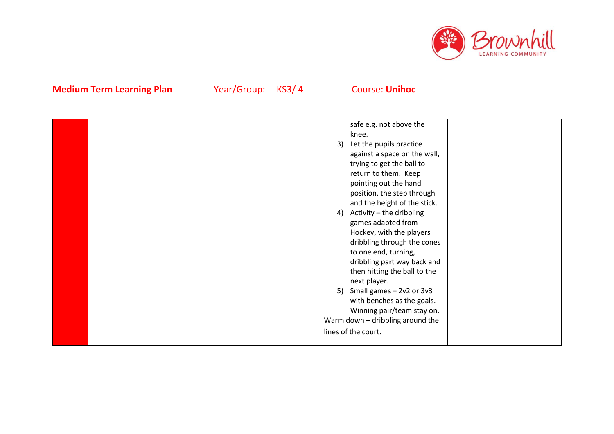

|  | safe e.g. not above the           |
|--|-----------------------------------|
|  | knee.                             |
|  | Let the pupils practice<br>3)     |
|  | against a space on the wall,      |
|  | trying to get the ball to         |
|  | return to them. Keep              |
|  | pointing out the hand             |
|  | position, the step through        |
|  | and the height of the stick.      |
|  | Activity - the dribbling<br>4)    |
|  | games adapted from                |
|  | Hockey, with the players          |
|  | dribbling through the cones       |
|  | to one end, turning,              |
|  | dribbling part way back and       |
|  | then hitting the ball to the      |
|  | next player.                      |
|  | Small games $-2v2$ or $3v3$<br>5) |
|  | with benches as the goals.        |
|  | Winning pair/team stay on.        |
|  | Warm down - dribbling around the  |
|  | lines of the court.               |
|  |                                   |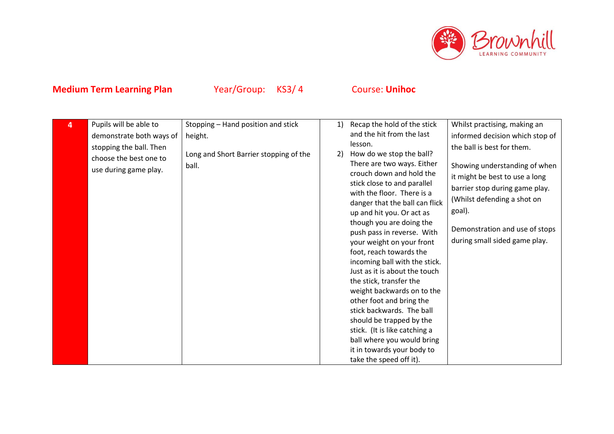

| 4 | Pupils will be able to   | Stopping - Hand position and stick     | 1) | Recap the hold of the stick                             | Whilst practising, making an    |
|---|--------------------------|----------------------------------------|----|---------------------------------------------------------|---------------------------------|
|   | demonstrate both ways of | height.                                |    | and the hit from the last                               | informed decision which stop of |
|   | stopping the ball. Then  |                                        |    | lesson.                                                 | the ball is best for them.      |
|   | choose the best one to   | Long and Short Barrier stopping of the | 2) | How do we stop the ball?                                |                                 |
|   | use during game play.    | ball.                                  |    | There are two ways. Either                              | Showing understanding of when   |
|   |                          |                                        |    | crouch down and hold the<br>stick close to and parallel | it might be best to use a long  |
|   |                          |                                        |    | with the floor. There is a                              | barrier stop during game play.  |
|   |                          |                                        |    | danger that the ball can flick                          | (Whilst defending a shot on     |
|   |                          |                                        |    | up and hit you. Or act as                               | goal).                          |
|   |                          |                                        |    | though you are doing the                                |                                 |
|   |                          |                                        |    | push pass in reverse. With                              | Demonstration and use of stops  |
|   |                          |                                        |    | your weight on your front                               | during small sided game play.   |
|   |                          |                                        |    | foot, reach towards the                                 |                                 |
|   |                          |                                        |    | incoming ball with the stick.                           |                                 |
|   |                          |                                        |    | Just as it is about the touch                           |                                 |
|   |                          |                                        |    | the stick, transfer the                                 |                                 |
|   |                          |                                        |    | weight backwards on to the                              |                                 |
|   |                          |                                        |    | other foot and bring the                                |                                 |
|   |                          |                                        |    | stick backwards. The ball                               |                                 |
|   |                          |                                        |    | should be trapped by the                                |                                 |
|   |                          |                                        |    | stick. (It is like catching a                           |                                 |
|   |                          |                                        |    | ball where you would bring                              |                                 |
|   |                          |                                        |    | it in towards your body to                              |                                 |
|   |                          |                                        |    | take the speed off it).                                 |                                 |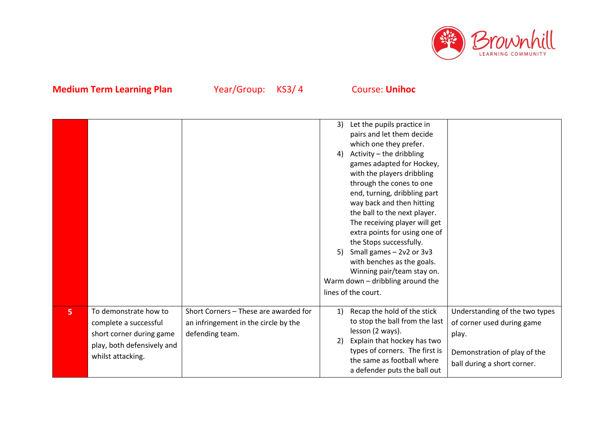

|   |                                                                                                                               |                                                                                                  | Let the pupils practice in<br>3)<br>pairs and let them decide<br>which one they prefer.<br>Activity - the dribbling<br>4)<br>games adapted for Hockey,<br>with the players dribbling<br>through the cones to one<br>end, turning, dribbling part<br>way back and then hitting<br>the ball to the next player.<br>The receiving player will get<br>extra points for using one of<br>the Stops successfully.<br>Small games $-2v2$ or $3v3$<br>5)<br>with benches as the goals.<br>Winning pair/team stay on.<br>Warm down - dribbling around the<br>lines of the court. |                                                                                                                                      |
|---|-------------------------------------------------------------------------------------------------------------------------------|--------------------------------------------------------------------------------------------------|------------------------------------------------------------------------------------------------------------------------------------------------------------------------------------------------------------------------------------------------------------------------------------------------------------------------------------------------------------------------------------------------------------------------------------------------------------------------------------------------------------------------------------------------------------------------|--------------------------------------------------------------------------------------------------------------------------------------|
| 5 | To demonstrate how to<br>complete a successful<br>short corner during game<br>play, both defensively and<br>whilst attacking. | Short Corners - These are awarded for<br>an infringement in the circle by the<br>defending team. | Recap the hold of the stick<br>1)<br>to stop the ball from the last<br>lesson (2 ways).<br>Explain that hockey has two<br>2)<br>types of corners. The first is<br>the same as football where<br>a defender puts the ball out                                                                                                                                                                                                                                                                                                                                           | Understanding of the two types<br>of corner used during game<br>play.<br>Demonstration of play of the<br>ball during a short corner. |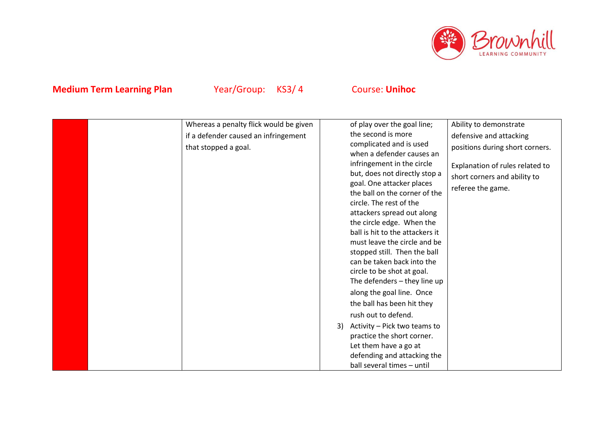

| Whereas a penalty flick would be given | of play over the goal line;<br>Ability to demonstrate         |
|----------------------------------------|---------------------------------------------------------------|
| the second is more                     |                                                               |
| if a defender caused an infringement   | defensive and attacking<br>complicated and is used            |
| that stopped a goal.                   | positions during short corners.                               |
|                                        | when a defender causes an                                     |
|                                        | infringement in the circle<br>Explanation of rules related to |
|                                        | but, does not directly stop a<br>short corners and ability to |
|                                        | goal. One attacker places<br>referee the game.                |
|                                        | the ball on the corner of the                                 |
|                                        | circle. The rest of the                                       |
|                                        | attackers spread out along                                    |
|                                        | the circle edge. When the                                     |
|                                        | ball is hit to the attackers it                               |
|                                        | must leave the circle and be                                  |
|                                        | stopped still. Then the ball                                  |
|                                        | can be taken back into the                                    |
|                                        | circle to be shot at goal.                                    |
|                                        | The defenders $-$ they line up                                |
|                                        | along the goal line. Once                                     |
|                                        |                                                               |
|                                        | the ball has been hit they                                    |
| rush out to defend.                    |                                                               |
| 3)                                     | Activity - Pick two teams to                                  |
|                                        | practice the short corner.                                    |
|                                        | Let them have a go at                                         |
|                                        | defending and attacking the                                   |
|                                        | ball several times - until                                    |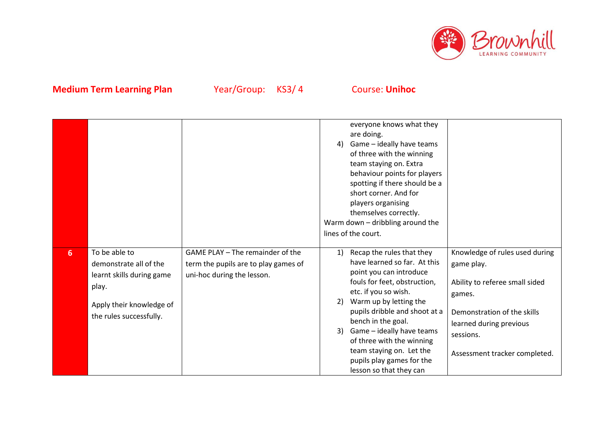

|                |                                                                                                                                      |                                                                                                        | everyone knows what they<br>are doing.<br>Game - ideally have teams<br>4)<br>of three with the winning<br>team staying on. Extra<br>behaviour points for players<br>spotting if there should be a<br>short corner. And for<br>players organising<br>themselves correctly.<br>Warm down - dribbling around the<br>lines of the court.                                                                                                                                                                                                                                                              |
|----------------|--------------------------------------------------------------------------------------------------------------------------------------|--------------------------------------------------------------------------------------------------------|---------------------------------------------------------------------------------------------------------------------------------------------------------------------------------------------------------------------------------------------------------------------------------------------------------------------------------------------------------------------------------------------------------------------------------------------------------------------------------------------------------------------------------------------------------------------------------------------------|
| 6 <sup>1</sup> | To be able to<br>demonstrate all of the<br>learnt skills during game<br>play.<br>Apply their knowledge of<br>the rules successfully. | GAME PLAY - The remainder of the<br>term the pupils are to play games of<br>uni-hoc during the lesson. | Recap the rules that they<br>Knowledge of rules used during<br>1)<br>have learned so far. At this<br>game play.<br>point you can introduce<br>fouls for feet, obstruction,<br>Ability to referee small sided<br>etc. if you so wish.<br>games.<br>Warm up by letting the<br>2)<br>pupils dribble and shoot at a<br>Demonstration of the skills<br>bench in the goal.<br>learned during previous<br>Game - ideally have teams<br>3)<br>sessions.<br>of three with the winning<br>team staying on. Let the<br>Assessment tracker completed.<br>pupils play games for the<br>lesson so that they can |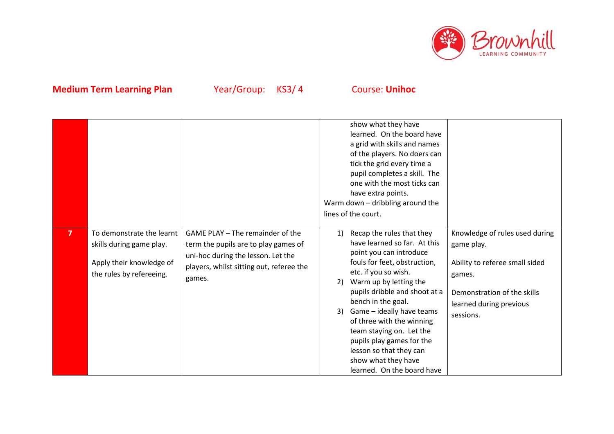

|                |                                                                                                               |                                                                                                                                                                      | show what they have<br>learned. On the board have<br>a grid with skills and names<br>of the players. No doers can<br>tick the grid every time a<br>pupil completes a skill. The<br>one with the most ticks can<br>have extra points.<br>Warm down - dribbling around the<br>lines of the court.                                                                                                                                                                                                                                                                                                                       |
|----------------|---------------------------------------------------------------------------------------------------------------|----------------------------------------------------------------------------------------------------------------------------------------------------------------------|-----------------------------------------------------------------------------------------------------------------------------------------------------------------------------------------------------------------------------------------------------------------------------------------------------------------------------------------------------------------------------------------------------------------------------------------------------------------------------------------------------------------------------------------------------------------------------------------------------------------------|
| $\overline{7}$ | To demonstrate the learnt<br>skills during game play.<br>Apply their knowledge of<br>the rules by refereeing. | GAME PLAY - The remainder of the<br>term the pupils are to play games of<br>uni-hoc during the lesson. Let the<br>players, whilst sitting out, referee the<br>games. | Recap the rules that they<br>Knowledge of rules used during<br>1)<br>have learned so far. At this<br>game play.<br>point you can introduce<br>fouls for feet, obstruction,<br>Ability to referee small sided<br>etc. if you so wish.<br>games.<br>Warm up by letting the<br>2)<br>pupils dribble and shoot at a<br>Demonstration of the skills<br>bench in the goal.<br>learned during previous<br>Game - ideally have teams<br>3)<br>sessions.<br>of three with the winning<br>team staying on. Let the<br>pupils play games for the<br>lesson so that they can<br>show what they have<br>learned. On the board have |